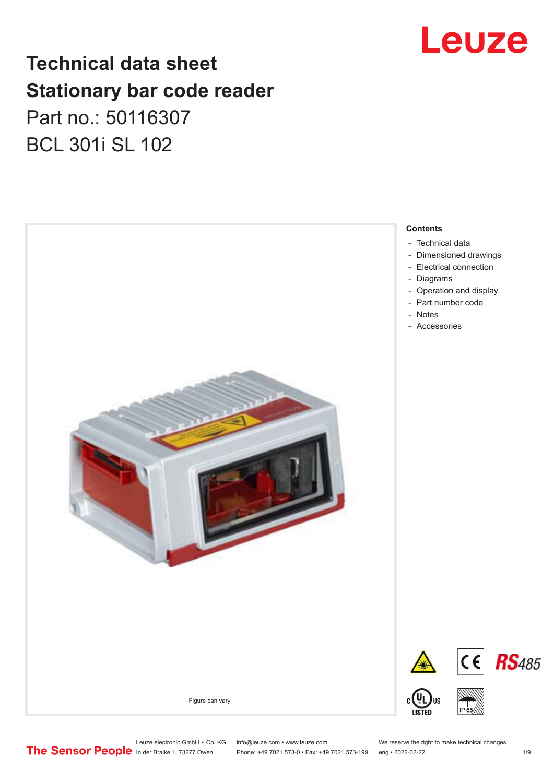

# **Technical data sheet Stationary bar code reader** Part no.: 50116307 BCL 301i SL 102



Leuze electronic GmbH + Co. KG info@leuze.com • www.leuze.com We reserve the right to make technical changes<br>
The Sensor People in der Braike 1, 73277 Owen Phone: +49 7021 573-0 • Fax: +49 7021 573-199 eng • 2022-02-22 Phone: +49 7021 573-0 • Fax: +49 7021 573-199 eng • 2022-02-22 1 /9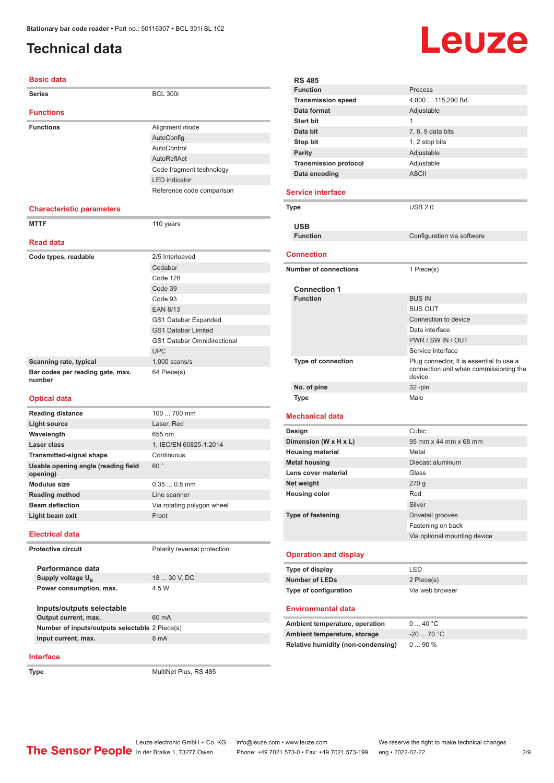# <span id="page-1-0"></span>**Technical data**

#### **Basic data**

| <b>Series</b>                              | <b>BCL 300i</b>                    |
|--------------------------------------------|------------------------------------|
| <b>Functions</b>                           |                                    |
| <b>Functions</b>                           | Alignment mode                     |
|                                            | AutoConfig                         |
|                                            | AutoControl                        |
|                                            | AutoReflAct                        |
|                                            | Code fragment technology           |
|                                            | <b>LED</b> indicator               |
|                                            | Reference code comparison          |
|                                            |                                    |
| <b>Characteristic parameters</b>           |                                    |
| <b>MTTF</b>                                | 110 years                          |
|                                            |                                    |
| <b>Read data</b>                           |                                    |
| Code types, readable                       | 2/5 Interleaved                    |
|                                            | Codabar                            |
|                                            | Code 128                           |
|                                            | Code 39                            |
|                                            | Code 93                            |
|                                            | <b>EAN 8/13</b>                    |
|                                            | GS1 Databar Expanded               |
|                                            | <b>GS1 Databar Limited</b>         |
|                                            | <b>GS1 Databar Omnidirectional</b> |
|                                            | <b>UPC</b>                         |
| Scanning rate, typical                     | $1,000$ scans/s                    |
| Bar codes per reading gate, max.<br>number | 64 Piece(s)                        |
| <b>Optical data</b>                        |                                    |

#### **Reading distance** 100 ... 700 mm **Light source** Laser, Red **Wavelength** 655 nm **Laser class** 1, IEC/EN 60825-1:2014 **Transmitted-signal shape** Continuous **Usable opening angle (reading field opening)**  $60<sup>°</sup>$ **Modulus size** 0.35 ... 0.8 mm **Reading method** Line scanner **Beam deflection** Via rotating polygon wheel **Light beam exit** Front **Electrical data Protective circuit** Polarity reversal protection **Performance data Supply voltage U<sub>B</sub>** 18 30 V, DC **Power consumption, max.** 4.5 W

| Inputs/outputs selectable                      |       |
|------------------------------------------------|-------|
| Output current, max.                           | 60 mA |
| Number of inputs/outputs selectable 2 Piece(s) |       |
| Input current, max.                            | 8 mA  |

#### **Interface**

**Type** MultiNet Plus, RS 485

Leuze

#### **RS 485 Function** Process **Transmission speed** 4,800 ... 115,200 Bd **Data format** Adjustable **Start bit** 1 **Data bit** 7, 8, 9 data bits **Stop bit** 1, 2 stop bits **Parity** Adjustable **Transmission protocol** Adjustable **Data encoding** ASCII **Service interface Type** USB 2.0 **USB Configuration** via software **Connection Number of connections** 1 Piece(s) **Connection 1 Function** BUS IN BUS OUT Connection to device Data interface PWR / SW IN / OUT Service interface **Type of connection** Plug connector, It is essential to use a connection unit when commissioning the device. **No. of pins** 32 -pin **Type** Male **Mechanical data Design Cubic Dimension (W x H x L)** 95 mm x 44 mm x 68 mm **Housing material** Metal **Metal housing** Diecast aluminum **Lens cover material Class Net weight** 270 g **Housing color** Red Silver **Type of fastening** Dovetail grooves Fastening on back Via optional mounting device **Operation and display Type of display** LED **Number of LEDs** 2 Piece(s) **Type of configuration** Via web browser **Environmental data Ambient temperature, operation** 0 ... 40 °C **Ambient temperature, storage** -20 ... 70 °C **Relative humidity (non-condensing)** 0 ... 90 %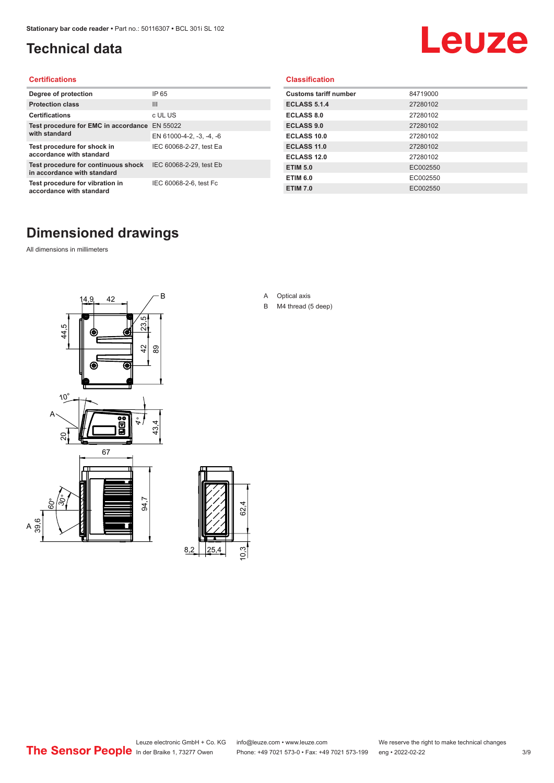# <span id="page-2-0"></span>**Technical data**

# Leuze

#### **Certifications**

| Degree of protection                                               | IP 65                    |
|--------------------------------------------------------------------|--------------------------|
| <b>Protection class</b>                                            | Ш                        |
| <b>Certifications</b>                                              | c UL US                  |
| Test procedure for EMC in accordance EN 55022                      |                          |
| with standard                                                      | EN 61000-4-2, -3, -4, -6 |
| Test procedure for shock in<br>accordance with standard            | IEC 60068-2-27, test Ea  |
| Test procedure for continuous shock<br>in accordance with standard | IEC 60068-2-29, test Eb  |
| Test procedure for vibration in<br>accordance with standard        | IEC 60068-2-6, test Fc   |

#### **Classification**

| <b>Customs tariff number</b> | 84719000 |
|------------------------------|----------|
| <b>ECLASS 5.1.4</b>          | 27280102 |
| <b>ECLASS 8.0</b>            | 27280102 |
| <b>ECLASS 9.0</b>            | 27280102 |
| ECLASS 10.0                  | 27280102 |
| <b>ECLASS 11.0</b>           | 27280102 |
| ECLASS 12.0                  | 27280102 |
| <b>ETIM 5.0</b>              | EC002550 |
| <b>ETIM 6.0</b>              | EC002550 |
| <b>ETIM 7.0</b>              | EC002550 |

# **Dimensioned drawings**

All dimensions in millimeters

 $\overline{A}$ 





- A Optical axis
- B M4 thread (5 deep)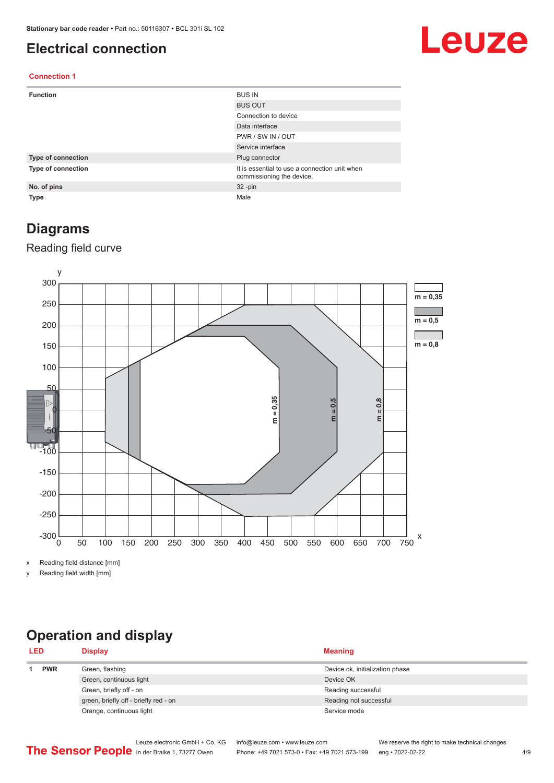#### <span id="page-3-0"></span>**Electrical connection**

# Leuze

#### **Connection 1**

| <b>Function</b>    | <b>BUS IN</b>                                                              |
|--------------------|----------------------------------------------------------------------------|
|                    | <b>BUS OUT</b>                                                             |
|                    | Connection to device                                                       |
|                    | Data interface                                                             |
|                    | PWR / SW IN / OUT                                                          |
|                    | Service interface                                                          |
| Type of connection | Plug connector                                                             |
| Type of connection | It is essential to use a connection unit when<br>commissioning the device. |
| No. of pins        | $32 - pin$                                                                 |
| <b>Type</b>        | Male                                                                       |

#### **Diagrams**

#### Reading field curve



x Reading field distance [mm]

y Reading field width [mm]

## **Operation and display**

|            | <b>LED</b><br><b>Display</b> |                                       | <b>Meaning</b>                  |
|------------|------------------------------|---------------------------------------|---------------------------------|
| <b>PWR</b> |                              | Green, flashing                       | Device ok, initialization phase |
|            | Green, continuous light      | Device OK                             |                                 |
|            |                              | Green, briefly off - on               | Reading successful              |
|            |                              | green, briefly off - briefly red - on | Reading not successful          |
|            |                              | Orange, continuous light              | Service mode                    |
|            |                              |                                       |                                 |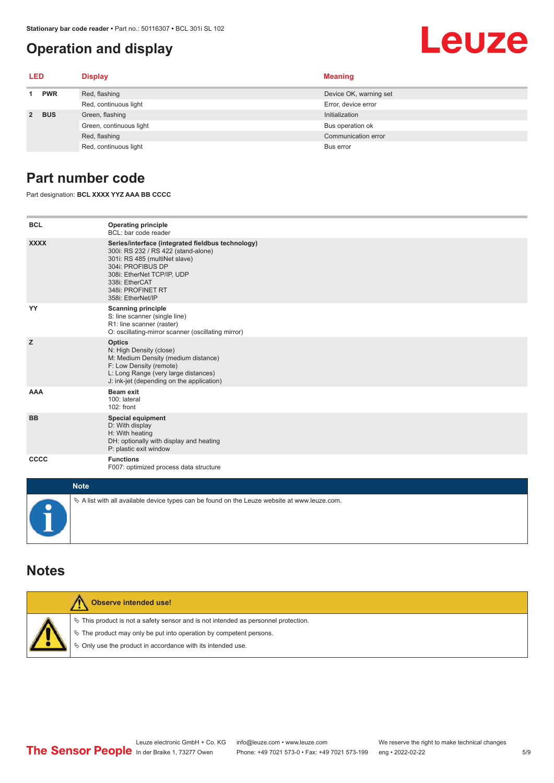## <span id="page-4-0"></span>**Operation and display**

# Leuze

| <b>LED</b> |            | <b>Display</b>          | <b>Meaning</b>         |
|------------|------------|-------------------------|------------------------|
|            | <b>PWR</b> | Red, flashing           | Device OK, warning set |
|            |            | Red, continuous light   | Error, device error    |
|            | 2 BUS      | Green, flashing         | Initialization         |
|            |            | Green, continuous light | Bus operation ok       |
|            |            | Red, flashing           | Communication error    |
|            |            | Red, continuous light   | Bus error              |

### **Part number code**

Part designation: **BCL XXXX YYZ AAA BB CCCC**

| <b>BCL</b>         | <b>Operating principle</b><br>BCL: bar code reader                                                                                                                                                                                       |
|--------------------|------------------------------------------------------------------------------------------------------------------------------------------------------------------------------------------------------------------------------------------|
| <b>XXXX</b>        | Series/interface (integrated fieldbus technology)<br>300i: RS 232 / RS 422 (stand-alone)<br>301i: RS 485 (multiNet slave)<br>304i: PROFIBUS DP<br>308i: EtherNet TCP/IP, UDP<br>338i: EtherCAT<br>348i: PROFINET RT<br>358i: EtherNet/IP |
| YY                 | <b>Scanning principle</b><br>S: line scanner (single line)<br>R1: line scanner (raster)<br>O: oscillating-mirror scanner (oscillating mirror)                                                                                            |
| z                  | <b>Optics</b><br>N: High Density (close)<br>M: Medium Density (medium distance)<br>F: Low Density (remote)<br>L: Long Range (very large distances)<br>J: ink-jet (depending on the application)                                          |
| <b>AAA</b>         | <b>Beam exit</b><br>100: lateral<br>102: front                                                                                                                                                                                           |
| <b>BB</b>          | <b>Special equipment</b><br>D: With display<br>H: With heating<br>DH: optionally with display and heating<br>P: plastic exit window                                                                                                      |
| CCCC               | <b>Functions</b><br>F007: optimized process data structure                                                                                                                                                                               |
| <b>Sales State</b> |                                                                                                                                                                                                                                          |

| <b>Note</b>                                                                                       |
|---------------------------------------------------------------------------------------------------|
| Vector A list with all available device types can be found on the Leuze website at www.leuze.com. |

#### **Notes**

| <b>Observe intended use!</b>                                                                                                                                                                                                  |
|-------------------------------------------------------------------------------------------------------------------------------------------------------------------------------------------------------------------------------|
| $\%$ This product is not a safety sensor and is not intended as personnel protection.<br>$\%$ The product may only be put into operation by competent persons.<br>₿ Only use the product in accordance with its intended use. |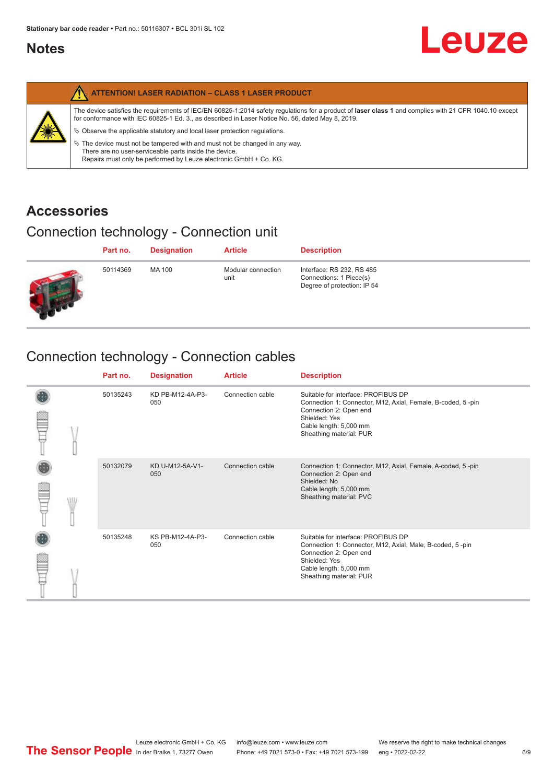### <span id="page-5-0"></span>**Notes**

|   | <b>ATTENTION! LASER RADIATION - CLASS 1 LASER PRODUCT</b>                                                                                                                                                                                                                                                                                                                                                                                                                                                                                                   |
|---|-------------------------------------------------------------------------------------------------------------------------------------------------------------------------------------------------------------------------------------------------------------------------------------------------------------------------------------------------------------------------------------------------------------------------------------------------------------------------------------------------------------------------------------------------------------|
| 纂 | The device satisfies the requirements of IEC/EN 60825-1:2014 safety requlations for a product of laser class 1 and complies with 21 CFR 1040.10 except<br>for conformance with IEC 60825-1 Ed. 3., as described in Laser Notice No. 56, dated May 8, 2019.<br>$\&$ Observe the applicable statutory and local laser protection regulations.<br>$\%$ The device must not be tampered with and must not be changed in any way.<br>There are no user-serviceable parts inside the device.<br>Repairs must only be performed by Leuze electronic GmbH + Co. KG. |

## **Accessories**

# Connection technology - Connection unit

| Part no. | <b>Designation</b> | <b>Article</b>             | <b>Description</b>                                                                  |
|----------|--------------------|----------------------------|-------------------------------------------------------------------------------------|
| 50114369 | MA 100             | Modular connection<br>unit | Interface: RS 232, RS 485<br>Connections: 1 Piece(s)<br>Degree of protection: IP 54 |

# Connection technology - Connection cables

|   | Part no. | <b>Designation</b>      | <b>Article</b>   | <b>Description</b>                                                                                                                                                                                 |
|---|----------|-------------------------|------------------|----------------------------------------------------------------------------------------------------------------------------------------------------------------------------------------------------|
|   | 50135243 | KD PB-M12-4A-P3-<br>050 | Connection cable | Suitable for interface: PROFIBUS DP<br>Connection 1: Connector, M12, Axial, Female, B-coded, 5-pin<br>Connection 2: Open end<br>Shielded: Yes<br>Cable length: 5,000 mm<br>Sheathing material: PUR |
| W | 50132079 | KD U-M12-5A-V1-<br>050  | Connection cable | Connection 1: Connector, M12, Axial, Female, A-coded, 5-pin<br>Connection 2: Open end<br>Shielded: No<br>Cable length: 5,000 mm<br>Sheathing material: PVC                                         |
|   | 50135248 | KS PB-M12-4A-P3-<br>050 | Connection cable | Suitable for interface: PROFIBUS DP<br>Connection 1: Connector, M12, Axial, Male, B-coded, 5-pin<br>Connection 2: Open end<br>Shielded: Yes<br>Cable length: 5,000 mm<br>Sheathing material: PUR   |

**Leuze**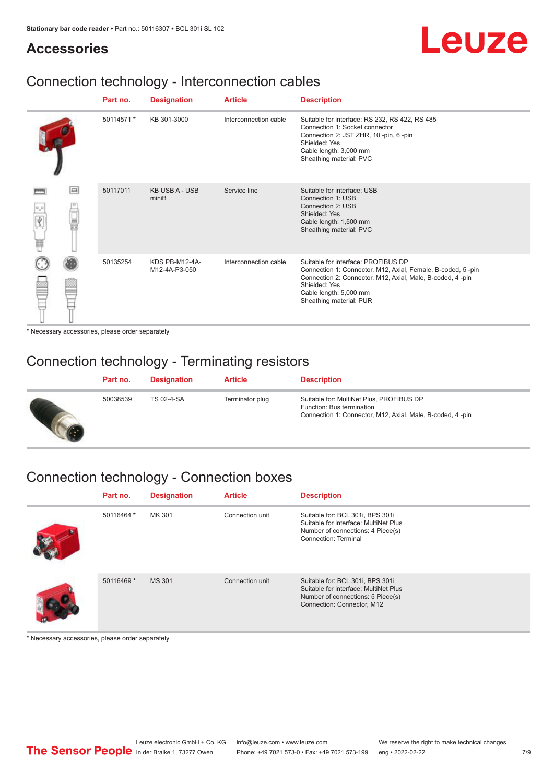#### **Accessories**

# Leuze

# Connection technology - Interconnection cables

|                       |        | Part no.   | <b>Designation</b>              | <b>Article</b>        | <b>Description</b>                                                                                                                                                                                                                    |
|-----------------------|--------|------------|---------------------------------|-----------------------|---------------------------------------------------------------------------------------------------------------------------------------------------------------------------------------------------------------------------------------|
|                       |        | 50114571 * | KB 301-3000                     | Interconnection cable | Suitable for interface: RS 232, RS 422, RS 485<br>Connection 1: Socket connector<br>Connection 2: JST ZHR, 10 -pin, 6 -pin<br>Shielded: Yes<br>Cable length: 3,000 mm<br>Sheathing material: PVC                                      |
| $\sigma^2\sigma$<br>肩 | $\Box$ | 50117011   | <b>KB USB A - USB</b><br>miniB  | Service line          | Suitable for interface: USB<br>Connection 1: USB<br>Connection 2: USB<br>Shielded: Yes<br>Cable length: 1,500 mm<br>Sheathing material: PVC                                                                                           |
|                       |        | 50135254   | KDS PB-M12-4A-<br>M12-4A-P3-050 | Interconnection cable | Suitable for interface: PROFIBUS DP<br>Connection 1: Connector, M12, Axial, Female, B-coded, 5-pin<br>Connection 2: Connector, M12, Axial, Male, B-coded, 4-pin<br>Shielded: Yes<br>Cable length: 5,000 mm<br>Sheathing material: PUR |

\* Necessary accessories, please order separately

## Connection technology - Terminating resistors

| Part no. | <b>Designation</b> | <b>Article</b>  | <b>Description</b>                                                                                                                 |
|----------|--------------------|-----------------|------------------------------------------------------------------------------------------------------------------------------------|
| 50038539 | TS 02-4-SA         | Terminator plug | Suitable for: MultiNet Plus, PROFIBUS DP<br>Function: Bus termination<br>Connection 1: Connector, M12, Axial, Male, B-coded, 4-pin |

# Connection technology - Connection boxes

| Part no.   | <b>Designation</b> | <b>Article</b>  | <b>Description</b>                                                                                                                           |
|------------|--------------------|-----------------|----------------------------------------------------------------------------------------------------------------------------------------------|
| 50116464 * | MK 301             | Connection unit | Suitable for: BCL 301i, BPS 301i<br>Suitable for interface: MultiNet Plus<br>Number of connections: 4 Piece(s)<br>Connection: Terminal       |
| 50116469 * | <b>MS 301</b>      | Connection unit | Suitable for: BCL 301i, BPS 301i<br>Suitable for interface: MultiNet Plus<br>Number of connections: 5 Piece(s)<br>Connection: Connector, M12 |

\* Necessary accessories, please order separately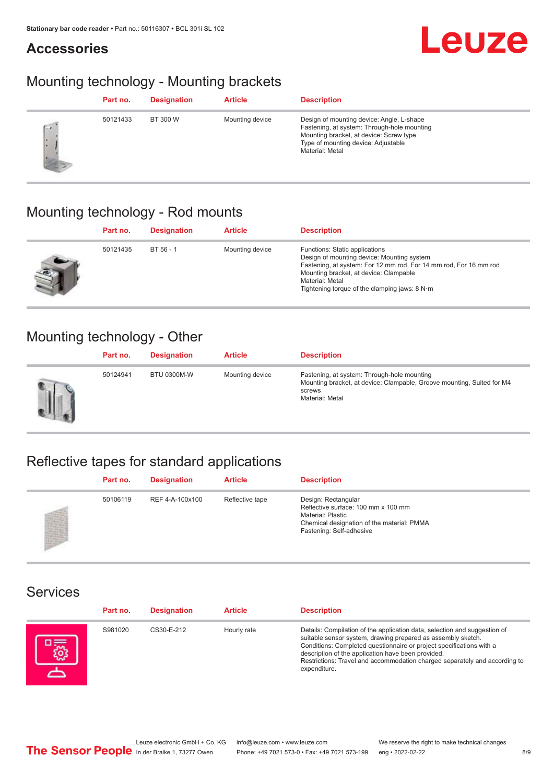### **Accessories**



## Mounting technology - Mounting brackets

|   | Part no. | <b>Designation</b> | <b>Article</b>  | <b>Description</b>                                                                                                                                                                            |
|---|----------|--------------------|-----------------|-----------------------------------------------------------------------------------------------------------------------------------------------------------------------------------------------|
| œ | 50121433 | BT 300 W           | Mounting device | Design of mounting device: Angle, L-shape<br>Fastening, at system: Through-hole mounting<br>Mounting bracket, at device: Screw type<br>Type of mounting device: Adjustable<br>Material: Metal |

## Mounting technology - Rod mounts

| Part no. | <b>Designation</b> | <b>Article</b>  | <b>Description</b>                                                                                                                                                                                                                                                                     |
|----------|--------------------|-----------------|----------------------------------------------------------------------------------------------------------------------------------------------------------------------------------------------------------------------------------------------------------------------------------------|
| 50121435 | BT 56 - 1          | Mounting device | Functions: Static applications<br>Design of mounting device: Mounting system<br>Fastening, at system: For 12 mm rod, For 14 mm rod, For 16 mm rod<br>Mounting bracket, at device: Clampable<br>Material: Metal<br>Tightening torque of the clamping jaws: $8 \text{ N} \cdot \text{m}$ |

### Mounting technology - Other

|   | Part no. | <b>Designation</b> | <b>Article</b>  | <b>Description</b>                                                                                                                                        |
|---|----------|--------------------|-----------------|-----------------------------------------------------------------------------------------------------------------------------------------------------------|
| Ш | 50124941 | <b>BTU 0300M-W</b> | Mounting device | Fastening, at system: Through-hole mounting<br>Mounting bracket, at device: Clampable, Groove mounting, Suited for M4<br>screws<br><b>Material: Metal</b> |

# Reflective tapes for standard applications

| Part no. | <b>Designation</b> | <b>Article</b>  | <b>Description</b>                                                                                                                                               |
|----------|--------------------|-----------------|------------------------------------------------------------------------------------------------------------------------------------------------------------------|
| 50106119 | REF 4-A-100x100    | Reflective tape | Design: Rectangular<br>Reflective surface: 100 mm x 100 mm<br><b>Material: Plastic</b><br>Chemical designation of the material: PMMA<br>Fastening: Self-adhesive |

#### Services

| Part no. | <b>Designation</b> | <b>Article</b> | <b>Description</b>                                                                                                                                                                                                                                                                                                                                                    |
|----------|--------------------|----------------|-----------------------------------------------------------------------------------------------------------------------------------------------------------------------------------------------------------------------------------------------------------------------------------------------------------------------------------------------------------------------|
| S981020  | CS30-E-212         | Hourly rate    | Details: Compilation of the application data, selection and suggestion of<br>suitable sensor system, drawing prepared as assembly sketch.<br>Conditions: Completed questionnaire or project specifications with a<br>description of the application have been provided.<br>Restrictions: Travel and accommodation charged separately and according to<br>expenditure. |